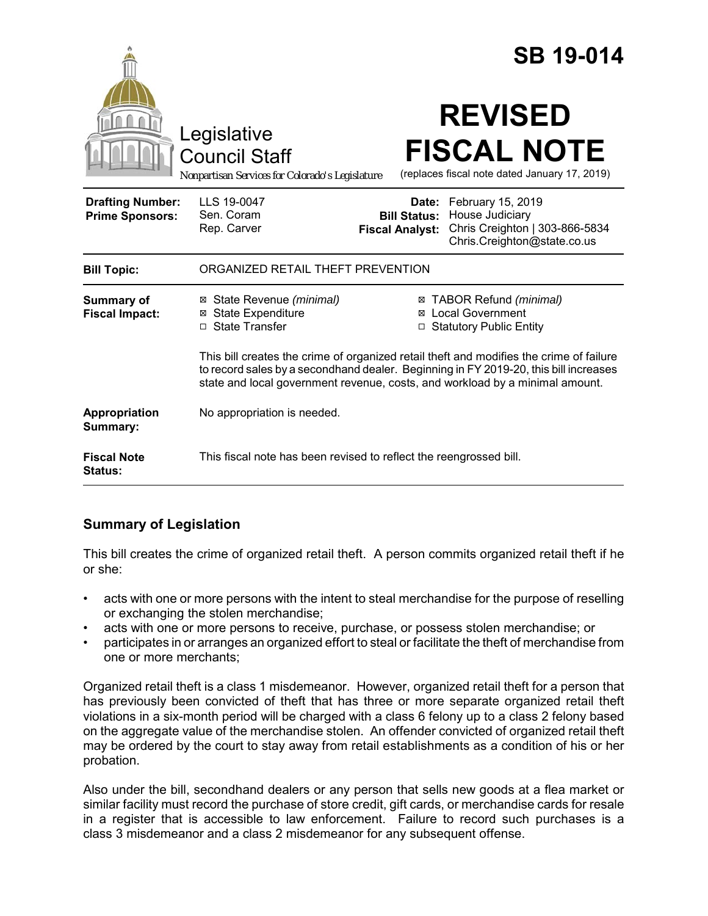|                                                   |                                                                                                                                                                                                                                                                 | <b>SB 19-014</b>                                                                                                                                             |
|---------------------------------------------------|-----------------------------------------------------------------------------------------------------------------------------------------------------------------------------------------------------------------------------------------------------------------|--------------------------------------------------------------------------------------------------------------------------------------------------------------|
|                                                   | Legislative<br><b>Council Staff</b><br>Nonpartisan Services for Colorado's Legislature                                                                                                                                                                          | <b>REVISED</b><br><b>FISCAL NOTE</b><br>(replaces fiscal note dated January 17, 2019)                                                                        |
| <b>Drafting Number:</b><br><b>Prime Sponsors:</b> | LLS 19-0047<br>Sen. Coram<br>Rep. Carver                                                                                                                                                                                                                        | Date: February 15, 2019<br>House Judiciary<br><b>Bill Status:</b><br>Chris Creighton   303-866-5834<br><b>Fiscal Analyst:</b><br>Chris.Creighton@state.co.us |
| <b>Bill Topic:</b>                                | ORGANIZED RETAIL THEFT PREVENTION                                                                                                                                                                                                                               |                                                                                                                                                              |
| <b>Summary of</b><br><b>Fiscal Impact:</b>        | ⊠ State Revenue (minimal)<br><b>⊠</b> State Expenditure<br>□ State Transfer                                                                                                                                                                                     | ⊠ TABOR Refund (minimal)<br><b>Local Government</b><br>⊠<br><b>Statutory Public Entity</b><br>□                                                              |
|                                                   | This bill creates the crime of organized retail theft and modifies the crime of failure<br>to record sales by a secondhand dealer. Beginning in FY 2019-20, this bill increases<br>state and local government revenue, costs, and workload by a minimal amount. |                                                                                                                                                              |
| Appropriation<br>Summary:                         | No appropriation is needed.                                                                                                                                                                                                                                     |                                                                                                                                                              |
| <b>Fiscal Note</b><br><b>Status:</b>              | This fiscal note has been revised to reflect the reengrossed bill.                                                                                                                                                                                              |                                                                                                                                                              |

# **Summary of Legislation**

This bill creates the crime of organized retail theft. A person commits organized retail theft if he or she:

- acts with one or more persons with the intent to steal merchandise for the purpose of reselling or exchanging the stolen merchandise;
- acts with one or more persons to receive, purchase, or possess stolen merchandise; or
- participates in or arranges an organized effort to steal or facilitate the theft of merchandise from one or more merchants;

Organized retail theft is a class 1 misdemeanor. However, organized retail theft for a person that has previously been convicted of theft that has three or more separate organized retail theft violations in a six-month period will be charged with a class 6 felony up to a class 2 felony based on the aggregate value of the merchandise stolen. An offender convicted of organized retail theft may be ordered by the court to stay away from retail establishments as a condition of his or her probation.

Also under the bill, secondhand dealers or any person that sells new goods at a flea market or similar facility must record the purchase of store credit, gift cards, or merchandise cards for resale in a register that is accessible to law enforcement. Failure to record such purchases is a class 3 misdemeanor and a class 2 misdemeanor for any subsequent offense.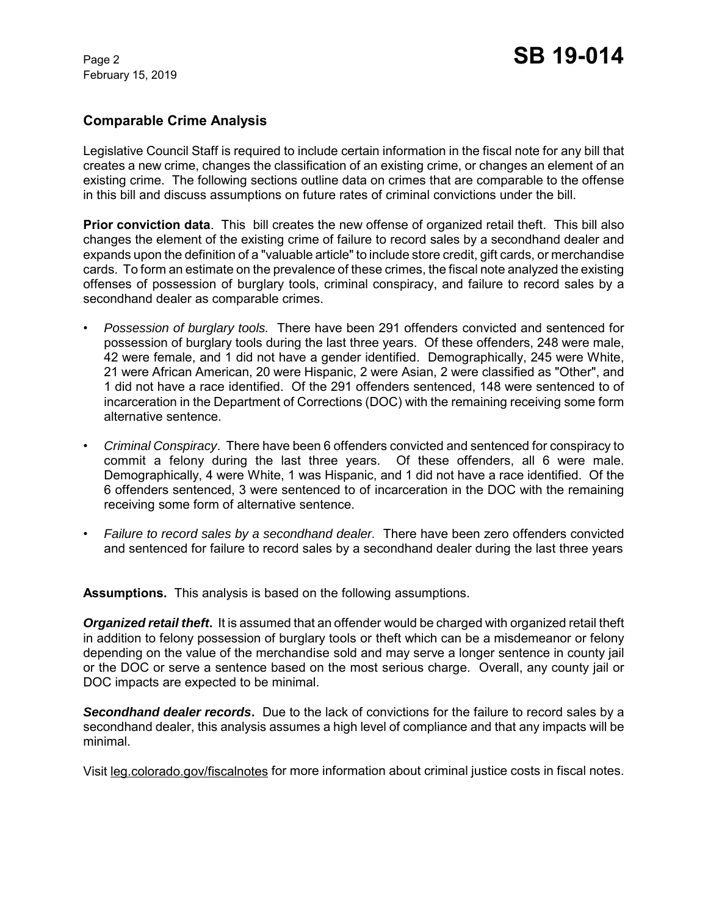February 15, 2019

#### **Comparable Crime Analysis**

Legislative Council Staff is required to include certain information in the fiscal note for any bill that creates a new crime, changes the classification of an existing crime, or changes an element of an existing crime. The following sections outline data on crimes that are comparable to the offense in this bill and discuss assumptions on future rates of criminal convictions under the bill.

**Prior conviction data**. This bill creates the new offense of organized retail theft. This bill also changes the element of the existing crime of failure to record sales by a secondhand dealer and expands upon the definition of a "valuable article" to include store credit, gift cards, or merchandise cards. To form an estimate on the prevalence of these crimes, the fiscal note analyzed the existing offenses of possession of burglary tools, criminal conspiracy, and failure to record sales by a secondhand dealer as comparable crimes.

- *Possession of burglary tools.* There have been 291 offenders convicted and sentenced for possession of burglary tools during the last three years. Of these offenders, 248 were male, 42 were female, and 1 did not have a gender identified. Demographically, 245 were White, 21 were African American, 20 were Hispanic, 2 were Asian, 2 were classified as "Other", and 1 did not have a race identified. Of the 291 offenders sentenced, 148 were sentenced to of incarceration in the Department of Corrections (DOC) with the remaining receiving some form alternative sentence.
- *Criminal Conspiracy*. There have been 6 offenders convicted and sentenced for conspiracy to commit a felony during the last three years. Of these offenders, all 6 were male. Demographically, 4 were White, 1 was Hispanic, and 1 did not have a race identified. Of the 6 offenders sentenced, 3 were sentenced to of incarceration in the DOC with the remaining receiving some form of alternative sentence.
- *Failure to record sales by a secondhand dealer.* There have been zero offenders convicted and sentenced for failure to record sales by a secondhand dealer during the last three years

**Assumptions.** This analysis is based on the following assumptions.

*Organized retail theft***.** It is assumed that an offender would be charged with organized retail theft in addition to felony possession of burglary tools or theft which can be a misdemeanor or felony depending on the value of the merchandise sold and may serve a longer sentence in county jail or the DOC or serve a sentence based on the most serious charge. Overall, any county jail or DOC impacts are expected to be minimal.

*Secondhand dealer records***.** Due to the lack of convictions for the failure to record sales by a secondhand dealer, this analysis assumes a high level of compliance and that any impacts will be minimal.

Visit leg.colorado.gov/fiscalnotes for more information about criminal justice costs in fiscal notes.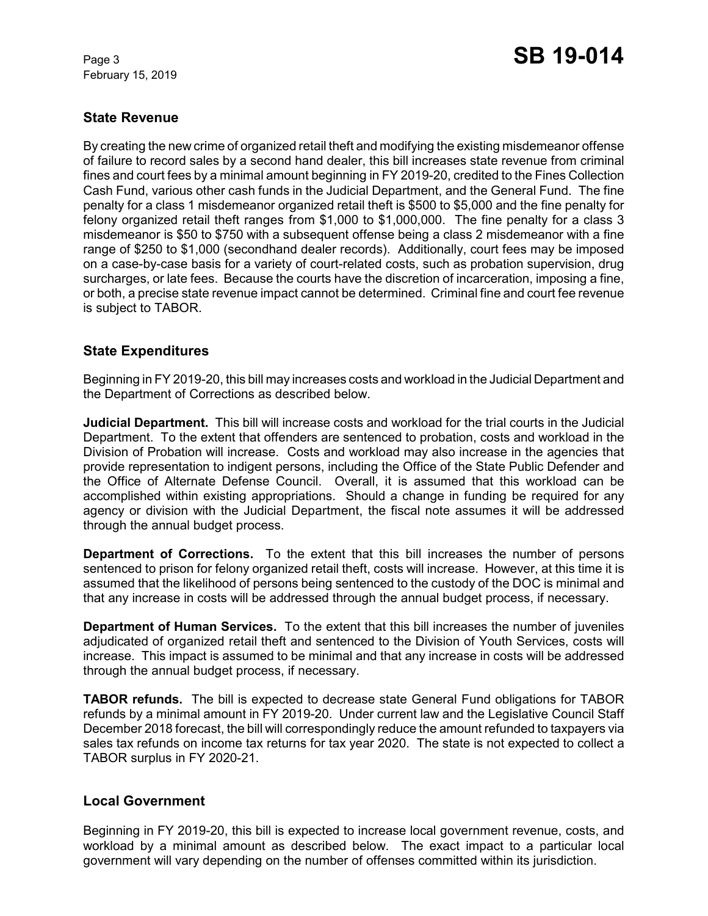February 15, 2019

## **State Revenue**

By creating the new crime of organized retail theft and modifying the existing misdemeanor offense of failure to record sales by a second hand dealer, this bill increases state revenue from criminal fines and court fees by a minimal amount beginning in FY 2019-20, credited to the Fines Collection Cash Fund, various other cash funds in the Judicial Department, and the General Fund. The fine penalty for a class 1 misdemeanor organized retail theft is \$500 to \$5,000 and the fine penalty for felony organized retail theft ranges from \$1,000 to \$1,000,000. The fine penalty for a class 3 misdemeanor is \$50 to \$750 with a subsequent offense being a class 2 misdemeanor with a fine range of \$250 to \$1,000 (secondhand dealer records). Additionally, court fees may be imposed on a case-by-case basis for a variety of court-related costs, such as probation supervision, drug surcharges, or late fees. Because the courts have the discretion of incarceration, imposing a fine, or both, a precise state revenue impact cannot be determined. Criminal fine and court fee revenue is subject to TABOR.

### **State Expenditures**

Beginning in FY 2019-20, this bill may increases costs and workload in the Judicial Department and the Department of Corrections as described below.

**Judicial Department.** This bill will increase costs and workload for the trial courts in the Judicial Department. To the extent that offenders are sentenced to probation, costs and workload in the Division of Probation will increase. Costs and workload may also increase in the agencies that provide representation to indigent persons, including the Office of the State Public Defender and the Office of Alternate Defense Council. Overall, it is assumed that this workload can be accomplished within existing appropriations. Should a change in funding be required for any agency or division with the Judicial Department, the fiscal note assumes it will be addressed through the annual budget process.

**Department of Corrections.** To the extent that this bill increases the number of persons sentenced to prison for felony organized retail theft, costs will increase. However, at this time it is assumed that the likelihood of persons being sentenced to the custody of the DOC is minimal and that any increase in costs will be addressed through the annual budget process, if necessary.

**Department of Human Services.** To the extent that this bill increases the number of juveniles adjudicated of organized retail theft and sentenced to the Division of Youth Services, costs will increase. This impact is assumed to be minimal and that any increase in costs will be addressed through the annual budget process, if necessary.

**TABOR refunds.** The bill is expected to decrease state General Fund obligations for TABOR refunds by a minimal amount in FY 2019-20. Under current law and the Legislative Council Staff December 2018 forecast, the bill will correspondingly reduce the amount refunded to taxpayers via sales tax refunds on income tax returns for tax year 2020. The state is not expected to collect a TABOR surplus in FY 2020-21.

### **Local Government**

Beginning in FY 2019-20, this bill is expected to increase local government revenue, costs, and workload by a minimal amount as described below. The exact impact to a particular local government will vary depending on the number of offenses committed within its jurisdiction.